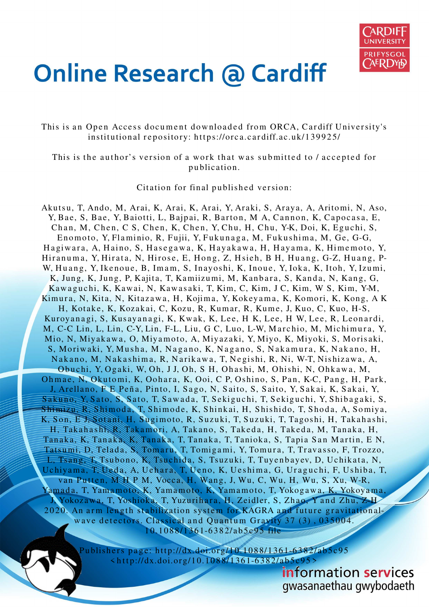

# **Online Research @ Cardiff**

This is an Open Access document downloaded from ORCA, Cardiff University's institutional repository: https://orca.cardiff.ac.uk/139925/

This is the author's version of a work that was submitted to / accepted for publication.

Citation for final published version:

Akuts u, T, Ando, M, Arai, K, Arai, K, Arai, Y, Araki, S, Araya, A, Arito mi, N, Aso, Y, Bae, S, Bae, Y, Baiotti, L, Bajpai, R, Barton, M A, Cannon, K, Capocasa, E, Chan, M, Chen, C S, Chen, K, Chen, Y, Chu, H, Chu, Y-K, Doi, K, Eguchi, S, Enomoto, Y, Flaminio, R, Fujii, Y, Fukunaga, M, Fukushima, M, Ge, G-G, Hagiwara, A, Haino, S, Hasegawa, K, Hayakawa, H, Hayama, K, Himemoto, Y, Hiranuma, Y, Hirata, N, Hirose, E, Hong, Z, Hsieh, B H, Huang, G-Z, Huang, P-W, Huang, Y, Ikenoue, B, Imam, S, Inayoshi, K, Inoue, Y, Ioka, K, Itoh, Y, Izumi, K, Jung, K, Jung, P, Kajita, T, Kamiizumi, M, Kanbara, S, Kanda, N, Kang, G, Kawaguchi, K, Kawai, N, Kawasaki, T, Kim, C, Kim, J C, Kim, W S, Kim, Y-M, Kimura, N, Kita, N, Kitazawa, H, Kojima, Y, Kokeyama, K, Komori, K, Kong, A K H, Kotake, K, Kozakai, C, Kozu, R, Kumar, R, Kume, J, Kuo, C, Kuo, H-S, Kuroyanagi, S, Kusayanagi, K, Kwak, K, Lee, H K, Lee, H W, Lee, R, Leonardi, M, C-C Lin, L, Lin, C-Y, Lin, F-L, Liu, G C, Luo, L-W, Marchio, M, Michimura, Y, Mio, N, Miyak a w a, O, Miya moto, A, Miyazaki, Y, Miyo, K, Miyoki, S, Moris aki, S, Moriwaki, Y, Musha, M, Nagano, K, Nagano, S, Nakamura, K, Nakano, H, Nakano, M, Nakashima, R, Narikawa, T, Negishi, R, Ni, W-T, Nishizawa, A, Obuchi, Y, Ogaki, W, Oh, JJ, Oh, S H, Ohashi, M, Ohishi, N, Ohkawa, M, Ohmae, N, Okutomi, K, Oohara, K, Ooi, C P, Oshino, S, Pan, K-C, Pang, H, Park, J, Arellano, F E Peña, Pinto, I, Sago, N, Saito, S, Saito, Y, Sakai, K, Sakai, Y, Sakuno, Y, Sato, S, Sato, T, Sawada, T, Sekiguchi, T, Sekiguchi, Y, Shibagaki, S, Shimizu, R, Shimoda, T, Shimode, K, Shinkai, H, Shishido, T, Shoda, A, Somiya, K, Son, E J, Sotani, H, Sugimoto, R, Suzuki, T, Suzuki, T, Tagoshi, H, Takahashi, H, Takahashi, R, Takamori, A, Takano, S, Takeda, H, Takeda, M, Tanaka, H, Tanaka, K, Tanaka, K, Tanaka, T, Tanaka, T, Tanioka, S, Tapia San Martin, E N, Tatsumi, D, Telada, S, Tomaru, T, Tomigami, Y, Tomura, T, Travasso, F, Trozzo, L, Tsang, T, Tsubono, K, Tsuchida, S, Tsuzuki, T, Tuyenbayev, D, Uchikata, N, Uchiyama, T, Ueda, A, Uchara, T, Ueno, K, Ueshima, G, Uraguchi, F, Ushiba, T, van Putten, MH P M, Vocca, H, Wang, J, Wu, C, Wu, H, Wu, S, Xu, W-R, Yamada, T, Yamamoto, K, Yamamoto, K, Yamamoto, T, Yokogawa, K, Yokoyama, J, Yokozawa, T, Yoshioka, T, Yuzurihara, H, Zeidler, S, Zhao, Y and Zhu, Z-H 2020. An arm length stabilization system for KAGRA and future gravitationalwave detectors. Classical and Quantum Gravity 37 (3), 035004. 10.1088/1361-6382/ab5e95 file

> Publishers page: http://dx.doi.org/10.1088/1361-6382/ab5c95  $\frac{\xi_{\text{http://dx.doi.org/10.1088/1361-6382/ab5c95}}{$

> > information services gwasanaethau gwybodaeth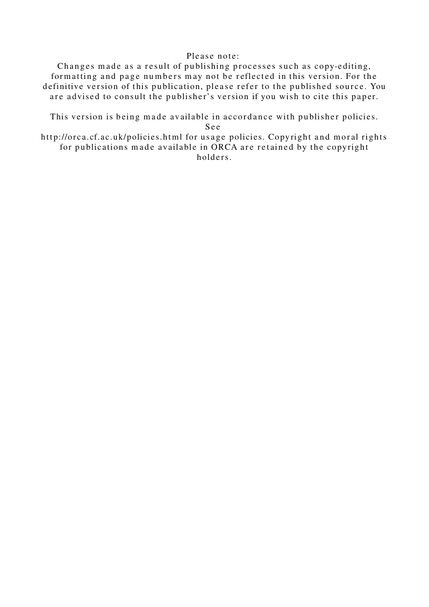# Please note:

Changes made as a result of publishing processes such as copy-editing, formatting and page numbers may not be reflected in this version. For the definitive version of this publication, please refer to the published source. You are advised to consult the publisher's version if you wish to cite this paper.

This version is being made available in accordance with publisher policies. S e e

http://orca.cf.ac.uk/policies.html for usage policies. Copyright and moral rights for publications made available in ORCA are retained by the copyright holders.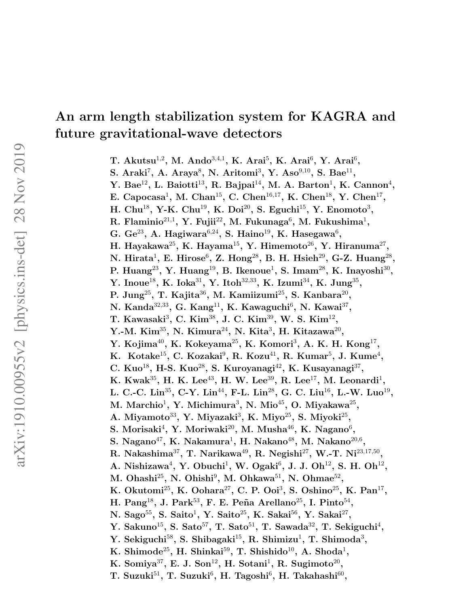# An arm length stabilization system for KAGRA and future gravitational-wave detectors

T. Akutsu<sup>1,2</sup>, M. Ando<sup>3,4,1</sup>, K. Arai<sup>5</sup>, K. Arai<sup>6</sup>, Y. Arai<sup>6</sup>,

S. Araki<sup>7</sup>, A. Araya<sup>8</sup>, N. Aritomi<sup>3</sup>, Y. Aso<sup>9,10</sup>, S. Bae<sup>11</sup>,

Y. Bae<sup>12</sup>, L. Baiotti<sup>13</sup>, R. Bajpai<sup>14</sup>, M. A. Barton<sup>1</sup>, K. Cannon<sup>4</sup>,

E. Capocasa<sup>1</sup>, M. Chan<sup>15</sup>, C. Chen<sup>16,17</sup>, K. Chen<sup>18</sup>, Y. Chen<sup>17</sup>,

H. Chu<sup>18</sup>, Y-K. Chu<sup>19</sup>, K. Doi<sup>20</sup>, S. Eguchi<sup>15</sup>, Y. Enomoto<sup>3</sup>,

R. Flaminio $^{21,1}$ , Y. Fujii $^{22}$ , M. Fukunaga $^6$ , M. Fukushima $^1,$ 

G. Ge<sup>23</sup>, A. Hagiwara<sup>6,24</sup>, S. Haino<sup>19</sup>, K. Hasegawa<sup>6</sup>,

H. Hayakawa $^{25}\!$ , K. Hayama $^{15}\!$ , Y. Himemoto $^{26}\!$ , Y. Hiranuma $^{27}\!$ ,

N. Hirata<sup>1</sup>, E. Hirose<sup>6</sup>, Z. Hong<sup>28</sup>, B. H. Hsieh<sup>29</sup>, G-Z. Huang<sup>28</sup>,

P. Huang $^{23}$ , Y. Huang $^{19}$ , B. Ikenoue<sup>1</sup>, S. Imam $^{28}$ , K. Inayoshi $^{30}$ ,

Y. Inoue<sup>18</sup>, K. Ioka<sup>31</sup>, Y. Itoh<sup>32,33</sup>, K. Izumi<sup>34</sup>, K. Jung<sup>35</sup>,

P. Jung $^{25}$ , T. Kajita $^{36}$ , M. Kamiizumi $^{25}$ , S. Kanbara $^{20}$ ,

N. Kanda $^{32,33}$ , G. Kang $^{11}$ , K. Kawaguchi $^6$ , N. Kawai $^{37}$ ,

T. Kawasaki<sup>3</sup>, C. Kim<sup>38</sup>, J. C. Kim<sup>39</sup>, W. S. Kim<sup>12</sup>,

Y.-M. Kim<sup>35</sup>, N. Kimura<sup>24</sup>, N. Kita<sup>3</sup>, H. Kitazawa<sup>20</sup>,

Y. Kojima $^{40}$ , K. Kokeyama $^{25}$ , K. Komori $^3$ , A. K. H. Kong $^{17}$ ,

K. Kotake $^{15}$ , C. Kozakai $^9$ , R. Kozu $^{41}$ , R. Kumar $^5$ , J. Kume $^4$ ,

C. Kuo<sup>18</sup>, H-S. Kuo<sup>28</sup>, S. Kuroyanagi<sup>42</sup>, K. Kusayanagi<sup>37</sup>,

K. Kwak<sup>35</sup>, H. K. Lee<sup>43</sup>, H. W. Lee<sup>39</sup>, R. Lee<sup>17</sup>, M. Leonardi<sup>1</sup>,

L. C.-C. Lin<sup>35</sup>, C-Y. Lin<sup>44</sup>, F-L. Lin<sup>28</sup>, G. C. Liu<sup>16</sup>, L.-W. Luo<sup>19</sup>,

M. Marchio<sup>1</sup>, Y. Michimura<sup>3</sup>, N. Mio<sup>45</sup>, O. Miyakawa<sup>25</sup>,

A. Miyamoto<sup>33</sup>, Y. Miyazaki<sup>3</sup>, K. Miyo<sup>25</sup>, S. Miyoki<sup>25</sup>,

S. Morisaki $^4$ , Y. Moriwaki $^{20}$ , M. Musha $^{46}$ , K. Nagano $^6$ ,

S. Nagano $^{47}$ , K. Nakamura $^1$ , H. Nakano $^{48}$ , M. Nakano $^{20,6}$ ,

R. Nakashima $^{37}$ , T. Narikawa $^{49}$ , R. Negishi $^{27}$ , W.-T. Ni $^{23,17,50}$ ,

A. Nishizawa<sup>4</sup>, Y. Obuchi<sup>1</sup>, W. Ogaki<sup>6</sup>, J. J. Oh<sup>12</sup>, S. H. Oh<sup>12</sup>,

M. Ohashi<sup>25</sup>, N. Ohishi<sup>9</sup>, M. Ohkawa<sup>51</sup>, N. Ohmae<sup>52</sup>,

K. Okutomi<sup>25</sup>, K. Oohara<sup>27</sup>, C. P. Ooi<sup>3</sup>, S. Oshino<sup>25</sup>, K. Pan<sup>17</sup>,

H. Pang $^{18}$ , J. Park $^{53}$ , F. E. Peña Arellano $^{25}$ , I. Pinto $^{54}$ ,

N. Sago $^{55}$ , S. Saito $^1$ , Y. Saito $^{25}$ , K. Sakai $^{56}$ , Y. Sakai $^{27}$ ,

Y. Sakuno $^{15}$ , S. Sato $^{57}$ , T. Sato $^{51}$ , T. Sawada $^{32}$ , T. Sekiguchi<sup>4</sup>,

Y. Sekiguchi<sup>58</sup>, S. Shibagaki<sup>15</sup>, R. Shimizu<sup>1</sup>, T. Shimoda<sup>3</sup>,

K. Shimode<sup>25</sup>, H. Shinkai<sup>59</sup>, T. Shishido<sup>10</sup>, A. Shoda<sup>1</sup>,

K. Somiya $^{37}$ , E. J. Son<sup>12</sup>, H. Sotani<sup>1</sup>, R. Sugimoto<sup>20</sup>,

T. Suzuki $^{51}$ , T. Suzuki $^6$ , H. Tagoshi $^6$ , H. Takahashi $^{60}$ ,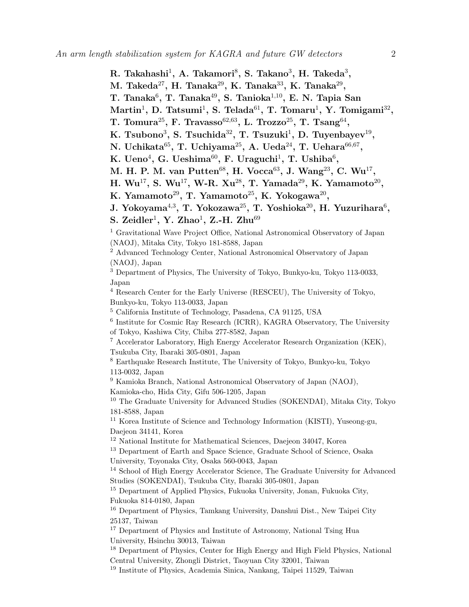- $\rm R.~Takahashi^1,~A.~Takamori^8,~S.~Takano^3,~H.~Takeda^3,$
- M. Takeda $^{27}$ , H. Tanaka $^{29}$ , K. Tanaka $^{33}$ , K. Tanaka $^{29}$ ,
- T. Tanaka $^6$ , T. Tanaka $^{49}$ , S. Tanioka $^{1,10}$ , E. N. Tapia San
- $\mathrm{Martin}^1, \, \mathrm{D. \; Tatsumi}^1, \, \mathrm{S. \; Telada}^{61}, \, \mathrm{T. \; Tomaru}^1, \, \mathrm{Y. \; Tomigami}^{32},$
- T. Tomura $^{25}$ , F. Travasso $^{62,63}$ , L. Trozzo $^{25}$ , T. Tsang $^{64}$ ,
- K. Tsubono<sup>3</sup>, S. Tsuchida<sup>32</sup>, T. Tsuzuki<sup>1</sup>, D. Tuyenbayev<sup>19</sup>,
- N. Uchikata $^{65}$ , T. Uchiyama $^{25}$ , A. Ueda $^{24}$ , T. Uehara $^{66,67}$ ,
- K. Ueno<sup>4</sup>, G. Ueshima<sup>60</sup>, F. Uraguchi<sup>1</sup>, T. Ushiba<sup>6</sup>,
- M. H. P. M. van Putten<sup>68</sup>, H. Vocca<sup>63</sup>, J. Wang<sup>23</sup>, C. Wu<sup>17</sup>,
- H.  $Wu^{17}$ , S.  $Wu^{17}$ , W-R.  $Xu^{28}$ , T. Yamada<sup>29</sup>, K. Yamamoto<sup>20</sup>,
- K. Yamamoto $^{29}$ , T. Yamamoto $^{25}$ , K. Yokogawa $^{20}$ ,
- J. Yokoyama $^{4,3},$  T. Yokozawa $^{25},$  T. Yoshioka $^{20},$  H. Yuzurihara $^6,$
- S. Zeidler<sup>1</sup>, Y. Zhao<sup>1</sup>, Z.-H. Zhu<sup>69</sup>

<sup>1</sup> Gravitational Wave Project Office, National Astronomical Observatory of Japan (NAOJ), Mitaka City, Tokyo 181-8588, Japan

<sup>2</sup> Advanced Technology Center, National Astronomical Observatory of Japan (NAOJ), Japan

<sup>3</sup> Department of Physics, The University of Tokyo, Bunkyo-ku, Tokyo 113-0033, Japan

<sup>4</sup> Research Center for the Early Universe (RESCEU), The University of Tokyo, Bunkyo-ku, Tokyo 113-0033, Japan

<sup>5</sup> California Institute of Technology, Pasadena, CA 91125, USA

<sup>6</sup> Institute for Cosmic Ray Research (ICRR), KAGRA Observatory, The University of Tokyo, Kashiwa City, Chiba 277-8582, Japan

<sup>7</sup> Accelerator Laboratory, High Energy Accelerator Research Organization (KEK), Tsukuba City, Ibaraki 305-0801, Japan

<sup>8</sup> Earthquake Research Institute, The University of Tokyo, Bunkyo-ku, Tokyo 113-0032, Japan

<sup>9</sup> Kamioka Branch, National Astronomical Observatory of Japan (NAOJ), Kamioka-cho, Hida City, Gifu 506-1205, Japan

<sup>10</sup> The Graduate University for Advanced Studies (SOKENDAI), Mitaka City, Tokyo 181-8588, Japan

<sup>11</sup> Korea Institute of Science and Technology Information (KISTI), Yuseong-gu, Daejeon 34141, Korea

<sup>12</sup> National Institute for Mathematical Sciences, Daejeon 34047, Korea

<sup>13</sup> Department of Earth and Space Science, Graduate School of Science, Osaka University, Toyonaka City, Osaka 560-0043, Japan

<sup>14</sup> School of High Energy Accelerator Science, The Graduate University for Advanced Studies (SOKENDAI), Tsukuba City, Ibaraki 305-0801, Japan

<sup>15</sup> Department of Applied Physics, Fukuoka University, Jonan, Fukuoka City, Fukuoka 814-0180, Japan

<sup>16</sup> Department of Physics, Tamkang University, Danshui Dist., New Taipei City 25137, Taiwan

<sup>17</sup> Department of Physics and Institute of Astronomy, National Tsing Hua University, Hsinchu 30013, Taiwan

<sup>18</sup> Department of Physics, Center for High Energy and High Field Physics, National Central University, Zhongli District, Taoyuan City 32001, Taiwan

<sup>19</sup> Institute of Physics, Academia Sinica, Nankang, Taipei 11529, Taiwan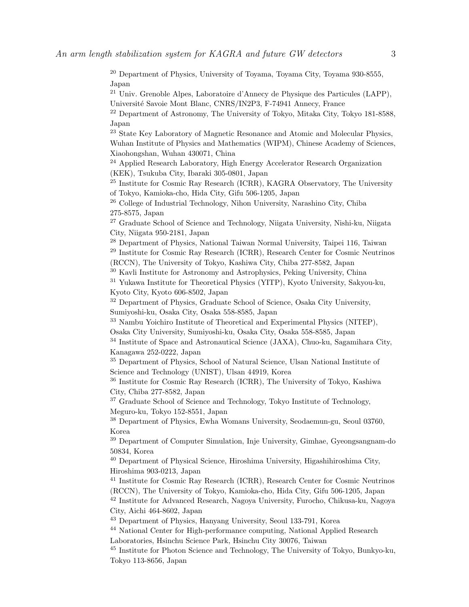<sup>20</sup> Department of Physics, University of Toyama, Toyama City, Toyama 930-8555, Japan

<sup>21</sup> Univ. Grenoble Alpes, Laboratoire d'Annecy de Physique des Particules (LAPP), Universit´e Savoie Mont Blanc, CNRS/IN2P3, F-74941 Annecy, France

<sup>22</sup> Department of Astronomy, The University of Tokyo, Mitaka City, Tokyo 181-8588, Japan

<sup>23</sup> State Key Laboratory of Magnetic Resonance and Atomic and Molecular Physics, Wuhan Institute of Physics and Mathematics (WIPM), Chinese Academy of Sciences, Xiaohongshan, Wuhan 430071, China

<sup>24</sup> Applied Research Laboratory, High Energy Accelerator Research Organization (KEK), Tsukuba City, Ibaraki 305-0801, Japan

<sup>25</sup> Institute for Cosmic Ray Research (ICRR), KAGRA Observatory, The University of Tokyo, Kamioka-cho, Hida City, Gifu 506-1205, Japan

<sup>26</sup> College of Industrial Technology, Nihon University, Narashino City, Chiba 275-8575, Japan

<sup>27</sup> Graduate School of Science and Technology, Niigata University, Nishi-ku, Niigata City, Niigata 950-2181, Japan

<sup>28</sup> Department of Physics, National Taiwan Normal University, Taipei 116, Taiwan <sup>29</sup> Institute for Cosmic Ray Research (ICRR), Research Center for Cosmic Neutrinos (RCCN), The University of Tokyo, Kashiwa City, Chiba 277-8582, Japan

<sup>30</sup> Kavli Institute for Astronomy and Astrophysics, Peking University, China

<sup>31</sup> Yukawa Institute for Theoretical Physics (YITP), Kyoto University, Sakyou-ku, Kyoto City, Kyoto 606-8502, Japan

<sup>32</sup> Department of Physics, Graduate School of Science, Osaka City University, Sumiyoshi-ku, Osaka City, Osaka 558-8585, Japan

<sup>33</sup> Nambu Yoichiro Institute of Theoretical and Experimental Physics (NITEP), Osaka City University, Sumiyoshi-ku, Osaka City, Osaka 558-8585, Japan

<sup>34</sup> Institute of Space and Astronautical Science (JAXA), Chuo-ku, Sagamihara City, Kanagawa 252-0222, Japan

<sup>35</sup> Department of Physics, School of Natural Science, Ulsan National Institute of Science and Technology (UNIST), Ulsan 44919, Korea

<sup>36</sup> Institute for Cosmic Ray Research (ICRR), The University of Tokyo, Kashiwa City, Chiba 277-8582, Japan

<sup>37</sup> Graduate School of Science and Technology, Tokyo Institute of Technology, Meguro-ku, Tokyo 152-8551, Japan

<sup>38</sup> Department of Physics, Ewha Womans University, Seodaemun-gu, Seoul 03760, Korea

<sup>39</sup> Department of Computer Simulation, Inje University, Gimhae, Gyeongsangnam-do 50834, Korea

<sup>40</sup> Department of Physical Science, Hiroshima University, Higashihiroshima City, Hiroshima 903-0213, Japan

<sup>41</sup> Institute for Cosmic Ray Research (ICRR), Research Center for Cosmic Neutrinos (RCCN), The University of Tokyo, Kamioka-cho, Hida City, Gifu 506-1205, Japan

<sup>42</sup> Institute for Advanced Research, Nagoya University, Furocho, Chikusa-ku, Nagoya City, Aichi 464-8602, Japan

<sup>43</sup> Department of Physics, Hanyang University, Seoul 133-791, Korea

<sup>44</sup> National Center for High-performance computing, National Applied Research Laboratories, Hsinchu Science Park, Hsinchu City 30076, Taiwan

<sup>45</sup> Institute for Photon Science and Technology, The University of Tokyo, Bunkyo-ku, Tokyo 113-8656, Japan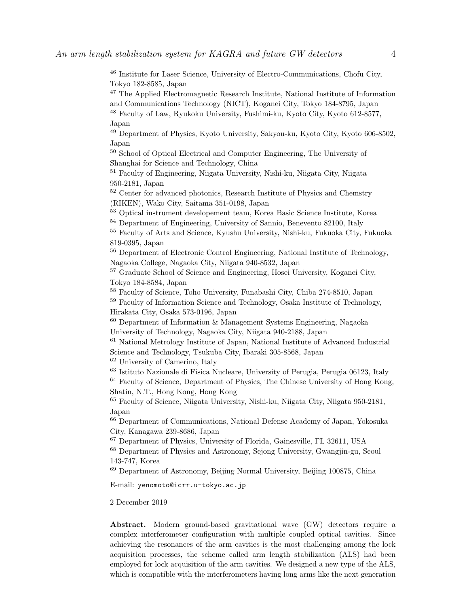<sup>46</sup> Institute for Laser Science, University of Electro-Communications, Chofu City, Tokyo 182-8585, Japan

<sup>47</sup> The Applied Electromagnetic Research Institute, National Institute of Information and Communications Technology (NICT), Koganei City, Tokyo 184-8795, Japan

<sup>48</sup> Faculty of Law, Ryukoku University, Fushimi-ku, Kyoto City, Kyoto 612-8577, Japan

<sup>49</sup> Department of Physics, Kyoto University, Sakyou-ku, Kyoto City, Kyoto 606-8502, Japan

<sup>50</sup> School of Optical Electrical and Computer Engineering, The University of Shanghai for Science and Technology, China

<sup>51</sup> Faculty of Engineering, Niigata University, Nishi-ku, Niigata City, Niigata 950-2181, Japan

<sup>52</sup> Center for advanced photonics, Research Institute of Physics and Chemstry (RIKEN), Wako City, Saitama 351-0198, Japan

<sup>53</sup> Optical instrument developement team, Korea Basic Science Institute, Korea

<sup>54</sup> Department of Engineering, University of Sannio, Benevento 82100, Italy

<sup>55</sup> Faculty of Arts and Science, Kyushu University, Nishi-ku, Fukuoka City, Fukuoka 819-0395, Japan

<sup>56</sup> Department of Electronic Control Engineering, National Institute of Technology, Nagaoka College, Nagaoka City, Niigata 940-8532, Japan

<sup>57</sup> Graduate School of Science and Engineering, Hosei University, Koganei City, Tokyo 184-8584, Japan

<sup>58</sup> Faculty of Science, Toho University, Funabashi City, Chiba 274-8510, Japan

<sup>59</sup> Faculty of Information Science and Technology, Osaka Institute of Technology, Hirakata City, Osaka 573-0196, Japan

 $60$  Department of Information & Management Systems Engineering, Nagaoka University of Technology, Nagaoka City, Niigata 940-2188, Japan

<sup>61</sup> National Metrology Institute of Japan, National Institute of Advanced Industrial Science and Technology, Tsukuba City, Ibaraki 305-8568, Japan

<sup>62</sup> University of Camerino, Italy

<sup>63</sup> Istituto Nazionale di Fisica Nucleare, University of Perugia, Perugia 06123, Italy <sup>64</sup> Faculty of Science, Department of Physics, The Chinese University of Hong Kong, Shatin, N.T., Hong Kong, Hong Kong

<sup>65</sup> Faculty of Science, Niigata University, Nishi-ku, Niigata City, Niigata 950-2181, Japan

<sup>66</sup> Department of Communications, National Defense Academy of Japan, Yokosuka City, Kanagawa 239-8686, Japan

<sup>67</sup> Department of Physics, University of Florida, Gainesville, FL 32611, USA

<sup>68</sup> Department of Physics and Astronomy, Sejong University, Gwangjin-gu, Seoul 143-747, Korea

<sup>69</sup> Department of Astronomy, Beijing Normal University, Beijing 100875, China

E-mail: yenomoto@icrr.u-tokyo.ac.jp

2 December 2019

Abstract. Modern ground-based gravitational wave (GW) detectors require a complex interferometer configuration with multiple coupled optical cavities. Since achieving the resonances of the arm cavities is the most challenging among the lock acquisition processes, the scheme called arm length stabilization (ALS) had been employed for lock acquisition of the arm cavities. We designed a new type of the ALS, which is compatible with the interferometers having long arms like the next generation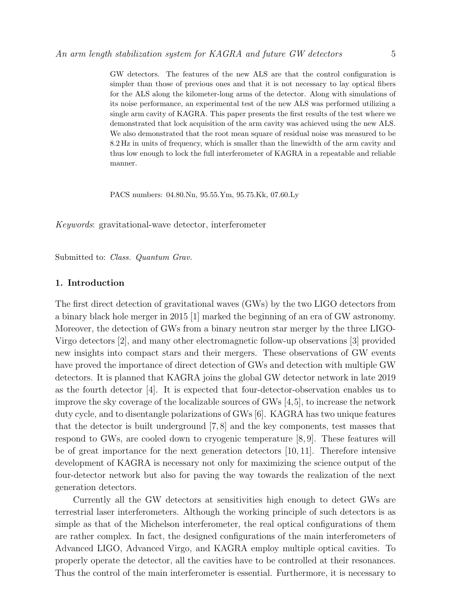GW detectors. The features of the new ALS are that the control configuration is simpler than those of previous ones and that it is not necessary to lay optical fibers for the ALS along the kilometer-long arms of the detector. Along with simulations of its noise performance, an experimental test of the new ALS was performed utilizing a single arm cavity of KAGRA. This paper presents the first results of the test where we demonstrated that lock acquisition of the arm cavity was achieved using the new ALS. We also demonstrated that the root mean square of residual noise was measured to be 8.2 Hz in units of frequency, which is smaller than the linewidth of the arm cavity and thus low enough to lock the full interferometer of KAGRA in a repeatable and reliable manner.

PACS numbers: 04.80.Nn, 95.55.Ym, 95.75.Kk, 07.60.Ly

Keywords: gravitational-wave detector, interferometer

Submitted to: Class. Quantum Grav.

# 1. Introduction

The first direct detection of gravitational waves (GWs) by the two LIGO detectors from a binary black hole merger in 2015 [1] marked the beginning of an era of GW astronomy. Moreover, the detection of GWs from a binary neutron star merger by the three LIGO-Virgo detectors [2], and many other electromagnetic follow-up observations [3] provided new insights into compact stars and their mergers. These observations of GW events have proved the importance of direct detection of GWs and detection with multiple GW detectors. It is planned that KAGRA joins the global GW detector network in late 2019 as the fourth detector [4]. It is expected that four-detector-observation enables us to improve the sky coverage of the localizable sources of GWs [4,5], to increase the network duty cycle, and to disentangle polarizations of GWs [6]. KAGRA has two unique features that the detector is built underground [7, 8] and the key components, test masses that respond to GWs, are cooled down to cryogenic temperature [8, 9]. These features will be of great importance for the next generation detectors [10, 11]. Therefore intensive development of KAGRA is necessary not only for maximizing the science output of the four-detector network but also for paving the way towards the realization of the next generation detectors.

Currently all the GW detectors at sensitivities high enough to detect GWs are terrestrial laser interferometers. Although the working principle of such detectors is as simple as that of the Michelson interferometer, the real optical configurations of them are rather complex. In fact, the designed configurations of the main interferometers of Advanced LIGO, Advanced Virgo, and KAGRA employ multiple optical cavities. To properly operate the detector, all the cavities have to be controlled at their resonances. Thus the control of the main interferometer is essential. Furthermore, it is necessary to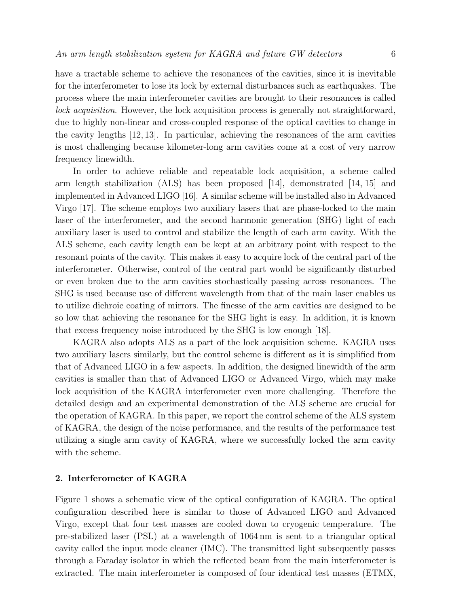have a tractable scheme to achieve the resonances of the cavities, since it is inevitable for the interferometer to lose its lock by external disturbances such as earthquakes. The process where the main interferometer cavities are brought to their resonances is called lock acquisition. However, the lock acquisition process is generally not straightforward, due to highly non-linear and cross-coupled response of the optical cavities to change in the cavity lengths [12, 13]. In particular, achieving the resonances of the arm cavities is most challenging because kilometer-long arm cavities come at a cost of very narrow frequency linewidth.

In order to achieve reliable and repeatable lock acquisition, a scheme called arm length stabilization (ALS) has been proposed [14], demonstrated [14, 15] and implemented in Advanced LIGO [16]. A similar scheme will be installed also in Advanced Virgo [17]. The scheme employs two auxiliary lasers that are phase-locked to the main laser of the interferometer, and the second harmonic generation (SHG) light of each auxiliary laser is used to control and stabilize the length of each arm cavity. With the ALS scheme, each cavity length can be kept at an arbitrary point with respect to the resonant points of the cavity. This makes it easy to acquire lock of the central part of the interferometer. Otherwise, control of the central part would be significantly disturbed or even broken due to the arm cavities stochastically passing across resonances. The SHG is used because use of different wavelength from that of the main laser enables us to utilize dichroic coating of mirrors. The finesse of the arm cavities are designed to be so low that achieving the resonance for the SHG light is easy. In addition, it is known that excess frequency noise introduced by the SHG is low enough [18].

KAGRA also adopts ALS as a part of the lock acquisition scheme. KAGRA uses two auxiliary lasers similarly, but the control scheme is different as it is simplified from that of Advanced LIGO in a few aspects. In addition, the designed linewidth of the arm cavities is smaller than that of Advanced LIGO or Advanced Virgo, which may make lock acquisition of the KAGRA interferometer even more challenging. Therefore the detailed design and an experimental demonstration of the ALS scheme are crucial for the operation of KAGRA. In this paper, we report the control scheme of the ALS system of KAGRA, the design of the noise performance, and the results of the performance test utilizing a single arm cavity of KAGRA, where we successfully locked the arm cavity with the scheme.

# 2. Interferometer of KAGRA

Figure 1 shows a schematic view of the optical configuration of KAGRA. The optical configuration described here is similar to those of Advanced LIGO and Advanced Virgo, except that four test masses are cooled down to cryogenic temperature. The pre-stabilized laser (PSL) at a wavelength of 1064 nm is sent to a triangular optical cavity called the input mode cleaner (IMC). The transmitted light subsequently passes through a Faraday isolator in which the reflected beam from the main interferometer is extracted. The main interferometer is composed of four identical test masses (ETMX,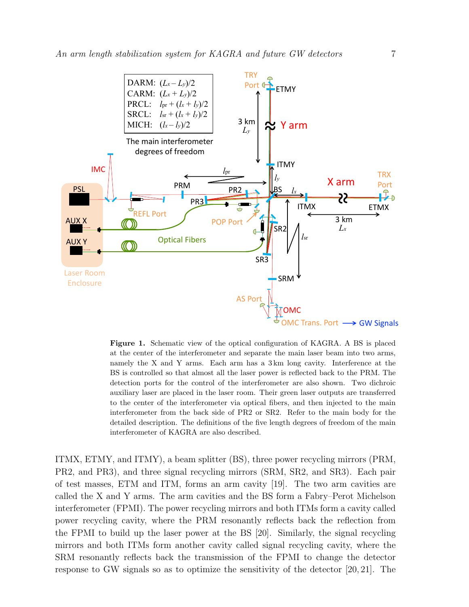

Figure 1. Schematic view of the optical configuration of KAGRA. A BS is placed at the center of the interferometer and separate the main laser beam into two arms, namely the X and Y arms. Each arm has a 3 km long cavity. Interference at the BS is controlled so that almost all the laser power is reflected back to the PRM. The detection ports for the control of the interferometer are also shown. Two dichroic auxiliary laser are placed in the laser room. Their green laser outputs are transferred to the center of the interferometer via optical fibers, and then injected to the main interferometer from the back side of PR2 or SR2. Refer to the main body for the detailed description. The definitions of the five length degrees of freedom of the main interferometer of KAGRA are also described.

ITMX, ETMY, and ITMY), a beam splitter (BS), three power recycling mirrors (PRM, PR2, and PR3), and three signal recycling mirrors (SRM, SR2, and SR3). Each pair of test masses, ETM and ITM, forms an arm cavity [19]. The two arm cavities are called the X and Y arms. The arm cavities and the BS form a Fabry–Perot Michelson interferometer (FPMI). The power recycling mirrors and both ITMs form a cavity called power recycling cavity, where the PRM resonantly reflects back the reflection from the FPMI to build up the laser power at the BS [20]. Similarly, the signal recycling mirrors and both ITMs form another cavity called signal recycling cavity, where the SRM resonantly reflects back the transmission of the FPMI to change the detector response to GW signals so as to optimize the sensitivity of the detector [20, 21]. The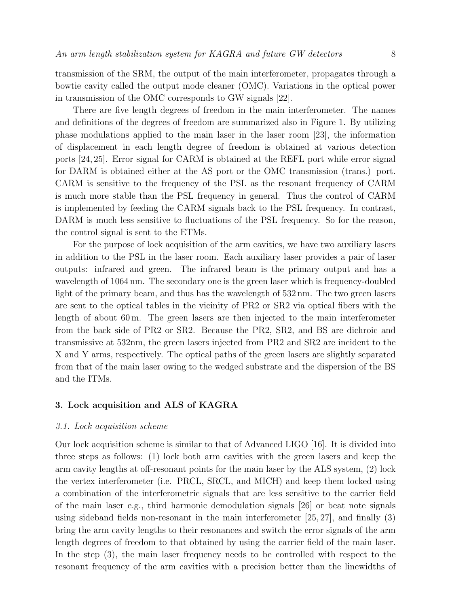transmission of the SRM, the output of the main interferometer, propagates through a bowtie cavity called the output mode cleaner (OMC). Variations in the optical power in transmission of the OMC corresponds to GW signals [22].

There are five length degrees of freedom in the main interferometer. The names and definitions of the degrees of freedom are summarized also in Figure 1. By utilizing phase modulations applied to the main laser in the laser room [23], the information of displacement in each length degree of freedom is obtained at various detection ports [24, 25]. Error signal for CARM is obtained at the REFL port while error signal for DARM is obtained either at the AS port or the OMC transmission (trans.) port. CARM is sensitive to the frequency of the PSL as the resonant frequency of CARM is much more stable than the PSL frequency in general. Thus the control of CARM is implemented by feeding the CARM signals back to the PSL frequency. In contrast, DARM is much less sensitive to fluctuations of the PSL frequency. So for the reason, the control signal is sent to the ETMs.

For the purpose of lock acquisition of the arm cavities, we have two auxiliary lasers in addition to the PSL in the laser room. Each auxiliary laser provides a pair of laser outputs: infrared and green. The infrared beam is the primary output and has a wavelength of 1064 nm. The secondary one is the green laser which is frequency-doubled light of the primary beam, and thus has the wavelength of 532 nm. The two green lasers are sent to the optical tables in the vicinity of PR2 or SR2 via optical fibers with the length of about 60 m. The green lasers are then injected to the main interferometer from the back side of PR2 or SR2. Because the PR2, SR2, and BS are dichroic and transmissive at 532nm, the green lasers injected from PR2 and SR2 are incident to the X and Y arms, respectively. The optical paths of the green lasers are slightly separated from that of the main laser owing to the wedged substrate and the dispersion of the BS and the ITMs.

# 3. Lock acquisition and ALS of KAGRA

#### 3.1. Lock acquisition scheme

Our lock acquisition scheme is similar to that of Advanced LIGO [16]. It is divided into three steps as follows: (1) lock both arm cavities with the green lasers and keep the arm cavity lengths at off-resonant points for the main laser by the ALS system, (2) lock the vertex interferometer (i.e. PRCL, SRCL, and MICH) and keep them locked using a combination of the interferometric signals that are less sensitive to the carrier field of the main laser e.g., third harmonic demodulation signals [26] or beat note signals using sideband fields non-resonant in the main interferometer [25, 27], and finally (3) bring the arm cavity lengths to their resonances and switch the error signals of the arm length degrees of freedom to that obtained by using the carrier field of the main laser. In the step (3), the main laser frequency needs to be controlled with respect to the resonant frequency of the arm cavities with a precision better than the linewidths of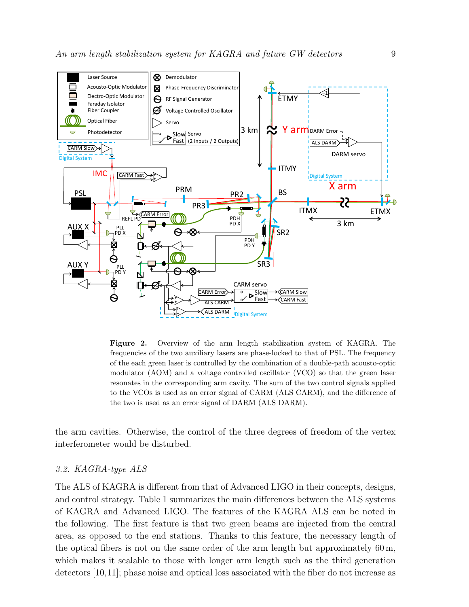

Figure 2. Overview of the arm length stabilization system of KAGRA. The frequencies of the two auxiliary lasers are phase-locked to that of PSL. The frequency of the each green laser is controlled by the combination of a double-path acousto-optic modulator (AOM) and a voltage controlled oscillator (VCO) so that the green laser resonates in the corresponding arm cavity. The sum of the two control signals applied to the VCOs is used as an error signal of CARM (ALS CARM), and the difference of the two is used as an error signal of DARM (ALS DARM).

the arm cavities. Otherwise, the control of the three degrees of freedom of the vertex interferometer would be disturbed.

# 3.2. KAGRA-type ALS

The ALS of KAGRA is different from that of Advanced LIGO in their concepts, designs, and control strategy. Table 1 summarizes the main differences between the ALS systems of KAGRA and Advanced LIGO. The features of the KAGRA ALS can be noted in the following. The first feature is that two green beams are injected from the central area, as opposed to the end stations. Thanks to this feature, the necessary length of the optical fibers is not on the same order of the arm length but approximately  $60 \,\mathrm{m}$ , which makes it scalable to those with longer arm length such as the third generation detectors [10,11]; phase noise and optical loss associated with the fiber do not increase as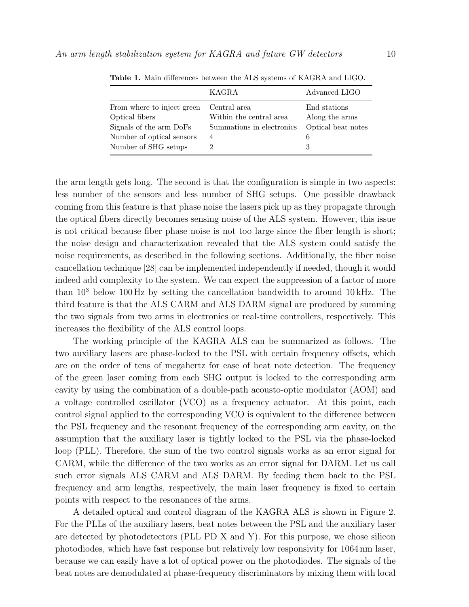|                                              | KAGRA                                   | Advanced LIGO                  |
|----------------------------------------------|-----------------------------------------|--------------------------------|
| From where to inject green<br>Optical fibers | Central area<br>Within the central area | End stations<br>Along the arms |
| Signals of the arm DoFs                      | Summations in electronics               | Optical beat notes             |
| Number of optical sensors                    | 4                                       | 6                              |
| Number of SHG setups                         |                                         | 3                              |

Table 1. Main differences between the ALS systems of KAGRA and LIGO.

the arm length gets long. The second is that the configuration is simple in two aspects: less number of the sensors and less number of SHG setups. One possible drawback coming from this feature is that phase noise the lasers pick up as they propagate through the optical fibers directly becomes sensing noise of the ALS system. However, this issue is not critical because fiber phase noise is not too large since the fiber length is short; the noise design and characterization revealed that the ALS system could satisfy the noise requirements, as described in the following sections. Additionally, the fiber noise cancellation technique [28] can be implemented independently if needed, though it would indeed add complexity to the system. We can expect the suppression of a factor of more than  $10^3$  below 100 Hz by setting the cancellation bandwidth to around 10 kHz. The third feature is that the ALS CARM and ALS DARM signal are produced by summing the two signals from two arms in electronics or real-time controllers, respectively. This increases the flexibility of the ALS control loops.

The working principle of the KAGRA ALS can be summarized as follows. The two auxiliary lasers are phase-locked to the PSL with certain frequency offsets, which are on the order of tens of megahertz for ease of beat note detection. The frequency of the green laser coming from each SHG output is locked to the corresponding arm cavity by using the combination of a double-path acousto-optic modulator (AOM) and a voltage controlled oscillator (VCO) as a frequency actuator. At this point, each control signal applied to the corresponding VCO is equivalent to the difference between the PSL frequency and the resonant frequency of the corresponding arm cavity, on the assumption that the auxiliary laser is tightly locked to the PSL via the phase-locked loop (PLL). Therefore, the sum of the two control signals works as an error signal for CARM, while the difference of the two works as an error signal for DARM. Let us call such error signals ALS CARM and ALS DARM. By feeding them back to the PSL frequency and arm lengths, respectively, the main laser frequency is fixed to certain points with respect to the resonances of the arms.

A detailed optical and control diagram of the KAGRA ALS is shown in Figure 2. For the PLLs of the auxiliary lasers, beat notes between the PSL and the auxiliary laser are detected by photodetectors (PLL PD X and Y). For this purpose, we chose silicon photodiodes, which have fast response but relatively low responsivity for 1064 nm laser, because we can easily have a lot of optical power on the photodiodes. The signals of the beat notes are demodulated at phase-frequency discriminators by mixing them with local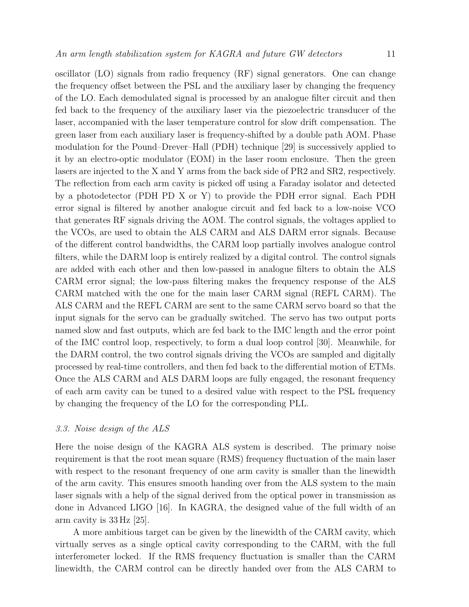oscillator (LO) signals from radio frequency (RF) signal generators. One can change the frequency offset between the PSL and the auxiliary laser by changing the frequency of the LO. Each demodulated signal is processed by an analogue filter circuit and then fed back to the frequency of the auxiliary laser via the piezoelectric transducer of the laser, accompanied with the laser temperature control for slow drift compensation. The green laser from each auxiliary laser is frequency-shifted by a double path AOM. Phase modulation for the Pound–Drever–Hall (PDH) technique [29] is successively applied to it by an electro-optic modulator (EOM) in the laser room enclosure. Then the green lasers are injected to the X and Y arms from the back side of PR2 and SR2, respectively. The reflection from each arm cavity is picked off using a Faraday isolator and detected by a photodetector (PDH PD X or Y) to provide the PDH error signal. Each PDH error signal is filtered by another analogue circuit and fed back to a low-noise VCO that generates RF signals driving the AOM. The control signals, the voltages applied to the VCOs, are used to obtain the ALS CARM and ALS DARM error signals. Because of the different control bandwidths, the CARM loop partially involves analogue control filters, while the DARM loop is entirely realized by a digital control. The control signals are added with each other and then low-passed in analogue filters to obtain the ALS CARM error signal; the low-pass filtering makes the frequency response of the ALS CARM matched with the one for the main laser CARM signal (REFL CARM). The ALS CARM and the REFL CARM are sent to the same CARM servo board so that the input signals for the servo can be gradually switched. The servo has two output ports named slow and fast outputs, which are fed back to the IMC length and the error point of the IMC control loop, respectively, to form a dual loop control [30]. Meanwhile, for the DARM control, the two control signals driving the VCOs are sampled and digitally processed by real-time controllers, and then fed back to the differential motion of ETMs. Once the ALS CARM and ALS DARM loops are fully engaged, the resonant frequency of each arm cavity can be tuned to a desired value with respect to the PSL frequency by changing the frequency of the LO for the corresponding PLL.

# 3.3. Noise design of the ALS

Here the noise design of the KAGRA ALS system is described. The primary noise requirement is that the root mean square (RMS) frequency fluctuation of the main laser with respect to the resonant frequency of one arm cavity is smaller than the linewidth of the arm cavity. This ensures smooth handing over from the ALS system to the main laser signals with a help of the signal derived from the optical power in transmission as done in Advanced LIGO [16]. In KAGRA, the designed value of the full width of an arm cavity is 33 Hz [25].

A more ambitious target can be given by the linewidth of the CARM cavity, which virtually serves as a single optical cavity corresponding to the CARM, with the full interferometer locked. If the RMS frequency fluctuation is smaller than the CARM linewidth, the CARM control can be directly handed over from the ALS CARM to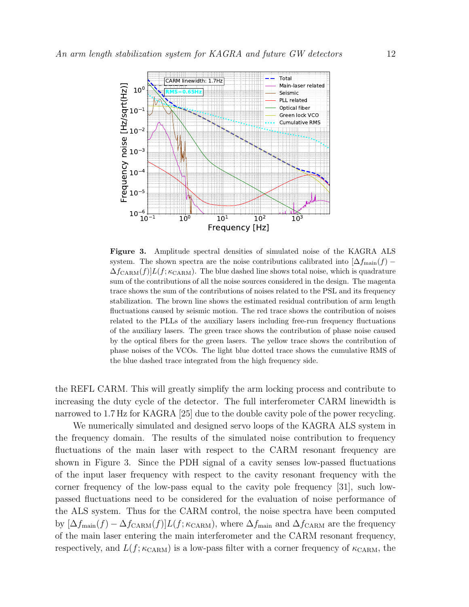

Figure 3. Amplitude spectral densities of simulated noise of the KAGRA ALS system. The shown spectra are the noise contributions calibrated into  $[\Delta f_{\text{main}}(f) \Delta f_{\text{CARM}}(f)]L(f;\kappa_{\text{CARM}})$ . The blue dashed line shows total noise, which is quadrature sum of the contributions of all the noise sources considered in the design. The magenta trace shows the sum of the contributions of noises related to the PSL and its frequency stabilization. The brown line shows the estimated residual contribution of arm length fluctuations caused by seismic motion. The red trace shows the contribution of noises related to the PLLs of the auxiliary lasers including free-run frequency fluctuations of the auxiliary lasers. The green trace shows the contribution of phase noise caused by the optical fibers for the green lasers. The yellow trace shows the contribution of phase noises of the VCOs. The light blue dotted trace shows the cumulative RMS of the blue dashed trace integrated from the high frequency side.

the REFL CARM. This will greatly simplify the arm locking process and contribute to increasing the duty cycle of the detector. The full interferometer CARM linewidth is narrowed to 1.7 Hz for KAGRA [25] due to the double cavity pole of the power recycling.

We numerically simulated and designed servo loops of the KAGRA ALS system in the frequency domain. The results of the simulated noise contribution to frequency fluctuations of the main laser with respect to the CARM resonant frequency are shown in Figure 3. Since the PDH signal of a cavity senses low-passed fluctuations of the input laser frequency with respect to the cavity resonant frequency with the corner frequency of the low-pass equal to the cavity pole frequency [31], such lowpassed fluctuations need to be considered for the evaluation of noise performance of the ALS system. Thus for the CARM control, the noise spectra have been computed by  $[\Delta f_{\text{main}}(f) - \Delta f_{\text{CARM}}(f)]L(f; \kappa_{\text{CARM}})$ , where  $\Delta f_{\text{main}}$  and  $\Delta f_{\text{CARM}}$  are the frequency of the main laser entering the main interferometer and the CARM resonant frequency, respectively, and  $L(f; \kappa_{\text{CARM}})$  is a low-pass filter with a corner frequency of  $\kappa_{\text{CARM}}$ , the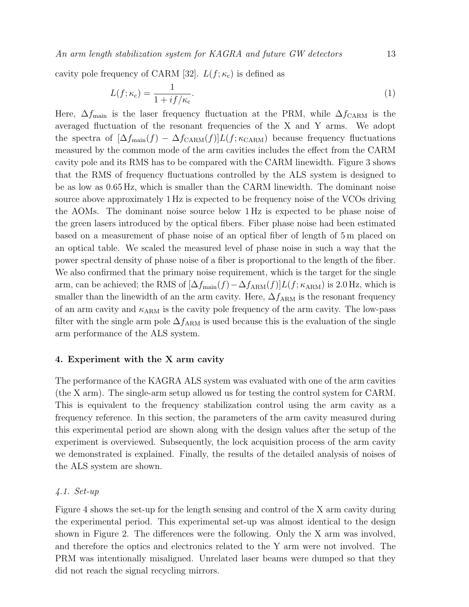An arm length stabilization system for KAGRA and future GW detectors 13

cavity pole frequency of CARM [32].  $L(f; \kappa_c)$  is defined as

$$
L(f; \kappa_c) = \frac{1}{1 + i f/\kappa_c}.\tag{1}
$$

Here,  $\Delta f_{\text{main}}$  is the laser frequency fluctuation at the PRM, while  $\Delta f_{\text{CARM}}$  is the averaged fluctuation of the resonant frequencies of the X and Y arms. We adopt the spectra of  $[\Delta f_{\text{main}}(f) - \Delta f_{\text{CARM}}(f)]L(f; \kappa_{\text{CARM}})$  because frequency fluctuations measured by the common mode of the arm cavities includes the effect from the CARM cavity pole and its RMS has to be compared with the CARM linewidth. Figure 3 shows that the RMS of frequency fluctuations controlled by the ALS system is designed to be as low as 0.65 Hz, which is smaller than the CARM linewidth. The dominant noise source above approximately 1 Hz is expected to be frequency noise of the VCOs driving the AOMs. The dominant noise source below 1 Hz is expected to be phase noise of the green lasers introduced by the optical fibers. Fiber phase noise had been estimated based on a measurement of phase noise of an optical fiber of length of 5 m placed on an optical table. We scaled the measured level of phase noise in such a way that the power spectral density of phase noise of a fiber is proportional to the length of the fiber. We also confirmed that the primary noise requirement, which is the target for the single arm, can be achieved; the RMS of  $[\Delta f_{\text{main}}(f) - \Delta f_{\text{ARM}}(f)]L(f; \kappa_{\text{ARM}})$  is 2.0 Hz, which is smaller than the linewidth of an the arm cavity. Here,  $\Delta f_{\rm ARM}$  is the resonant frequency of an arm cavity and  $\kappa_{ARM}$  is the cavity pole frequency of the arm cavity. The low-pass filter with the single arm pole  $\Delta f_{\rm ARM}$  is used because this is the evaluation of the single arm performance of the ALS system.

# 4. Experiment with the X arm cavity

The performance of the KAGRA ALS system was evaluated with one of the arm cavities (the X arm). The single-arm setup allowed us for testing the control system for CARM. This is equivalent to the frequency stabilization control using the arm cavity as a frequency reference. In this section, the parameters of the arm cavity measured during this experimental period are shown along with the design values after the setup of the experiment is overviewed. Subsequently, the lock acquisition process of the arm cavity we demonstrated is explained. Finally, the results of the detailed analysis of noises of the ALS system are shown.

# 4.1. Set-up

Figure 4 shows the set-up for the length sensing and control of the X arm cavity during the experimental period. This experimental set-up was almost identical to the design shown in Figure 2. The differences were the following. Only the X arm was involved, and therefore the optics and electronics related to the Y arm were not involved. The PRM was intentionally misaligned. Unrelated laser beams were dumped so that they did not reach the signal recycling mirrors.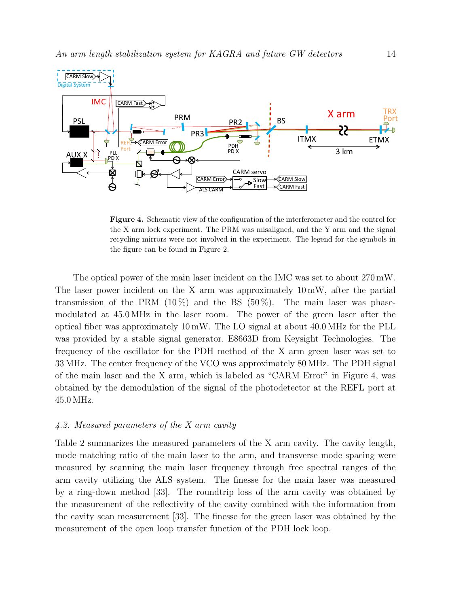

Figure 4. Schematic view of the configuration of the interferometer and the control for the X arm lock experiment. The PRM was misaligned, and the Y arm and the signal recycling mirrors were not involved in the experiment. The legend for the symbols in the figure can be found in Figure 2.

The optical power of the main laser incident on the IMC was set to about 270 mW. The laser power incident on the X arm was approximately 10 mW, after the partial transmission of the PRM  $(10\%)$  and the BS  $(50\%)$ . The main laser was phasemodulated at 45.0 MHz in the laser room. The power of the green laser after the optical fiber was approximately 10 mW. The LO signal at about 40.0 MHz for the PLL was provided by a stable signal generator, E8663D from Keysight Technologies. The frequency of the oscillator for the PDH method of the X arm green laser was set to 33 MHz. The center frequency of the VCO was approximately 80 MHz. The PDH signal of the main laser and the X arm, which is labeled as "CARM Error" in Figure 4, was obtained by the demodulation of the signal of the photodetector at the REFL port at 45.0 MHz.

# 4.2. Measured parameters of the X arm cavity

Table 2 summarizes the measured parameters of the X arm cavity. The cavity length, mode matching ratio of the main laser to the arm, and transverse mode spacing were measured by scanning the main laser frequency through free spectral ranges of the arm cavity utilizing the ALS system. The finesse for the main laser was measured by a ring-down method [33]. The roundtrip loss of the arm cavity was obtained by the measurement of the reflectivity of the cavity combined with the information from the cavity scan measurement [33]. The finesse for the green laser was obtained by the measurement of the open loop transfer function of the PDH lock loop.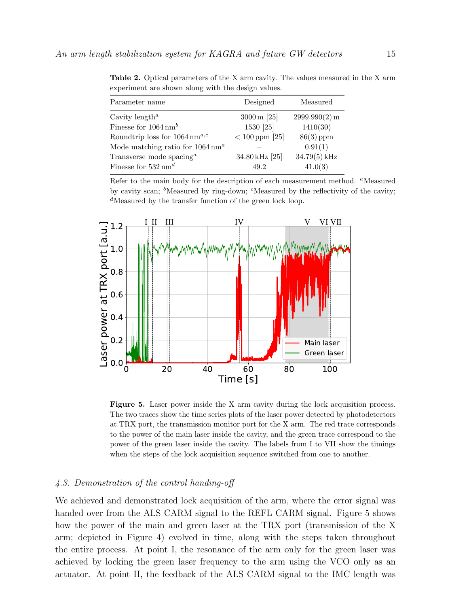| Parameter name                                    | Designed                 | Measured      |
|---------------------------------------------------|--------------------------|---------------|
| Cavity length <sup><math>a</math></sup>           | $3000 \,\mathrm{m}$ [25] | 2999.990(2) m |
| Finesse for $1064 \text{ nm}^b$                   | 1530 [25]                | 1410(30)      |
| Roundtrip loss for $1064 \,\mathrm{nm}^{a,c}$     | $< 100$ ppm [25]         | $86(3)$ ppm   |
| Mode matching ratio for $1064 \text{ nm}^a$       |                          | 0.91(1)       |
| Transverse mode spacing <sup><math>a</math></sup> | 34.80 kHz [25]           | 34.79(5) kHz  |
| Finesse for $532 \text{ nm}^d$                    | 49.2                     | 41.0(3)       |

Table 2. Optical parameters of the X arm cavity. The values measured in the X arm experiment are shown along with the design values.

Refer to the main body for the description of each measurement method. <sup>a</sup>Measured by cavity scan;  $\delta$ Measured by ring-down;  $\delta$ Measured by the reflectivity of the cavity;  $d$ Measured by the transfer function of the green lock loop.



Figure 5. Laser power inside the X arm cavity during the lock acquisition process. The two traces show the time series plots of the laser power detected by photodetectors at TRX port, the transmission monitor port for the X arm. The red trace corresponds to the power of the main laser inside the cavity, and the green trace correspond to the power of the green laser inside the cavity. The labels from I to VII show the timings when the steps of the lock acquisition sequence switched from one to another.

# 4.3. Demonstration of the control handing-off

We achieved and demonstrated lock acquisition of the arm, where the error signal was handed over from the ALS CARM signal to the REFL CARM signal. Figure 5 shows how the power of the main and green laser at the TRX port (transmission of the X arm; depicted in Figure 4) evolved in time, along with the steps taken throughout the entire process. At point I, the resonance of the arm only for the green laser was achieved by locking the green laser frequency to the arm using the VCO only as an actuator. At point II, the feedback of the ALS CARM signal to the IMC length was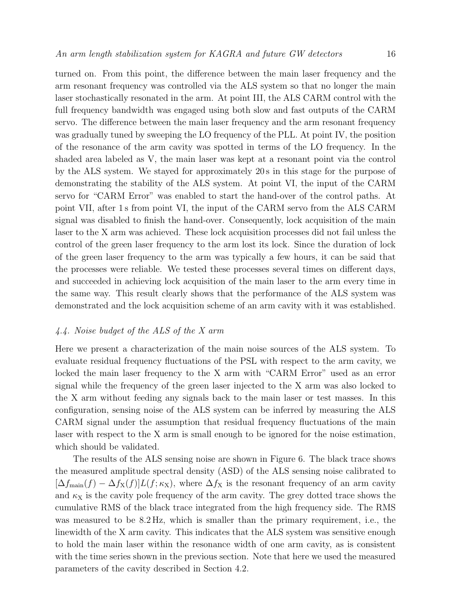turned on. From this point, the difference between the main laser frequency and the arm resonant frequency was controlled via the ALS system so that no longer the main laser stochastically resonated in the arm. At point III, the ALS CARM control with the full frequency bandwidth was engaged using both slow and fast outputs of the CARM servo. The difference between the main laser frequency and the arm resonant frequency was gradually tuned by sweeping the LO frequency of the PLL. At point IV, the position of the resonance of the arm cavity was spotted in terms of the LO frequency. In the shaded area labeled as V, the main laser was kept at a resonant point via the control by the ALS system. We stayed for approximately 20 s in this stage for the purpose of demonstrating the stability of the ALS system. At point VI, the input of the CARM servo for "CARM Error" was enabled to start the hand-over of the control paths. At point VII, after 1 s from point VI, the input of the CARM servo from the ALS CARM signal was disabled to finish the hand-over. Consequently, lock acquisition of the main laser to the X arm was achieved. These lock acquisition processes did not fail unless the control of the green laser frequency to the arm lost its lock. Since the duration of lock of the green laser frequency to the arm was typically a few hours, it can be said that the processes were reliable. We tested these processes several times on different days, and succeeded in achieving lock acquisition of the main laser to the arm every time in the same way. This result clearly shows that the performance of the ALS system was demonstrated and the lock acquisition scheme of an arm cavity with it was established.

# 4.4. Noise budget of the ALS of the X arm

Here we present a characterization of the main noise sources of the ALS system. To evaluate residual frequency fluctuations of the PSL with respect to the arm cavity, we locked the main laser frequency to the X arm with "CARM Error" used as an error signal while the frequency of the green laser injected to the X arm was also locked to the X arm without feeding any signals back to the main laser or test masses. In this configuration, sensing noise of the ALS system can be inferred by measuring the ALS CARM signal under the assumption that residual frequency fluctuations of the main laser with respect to the X arm is small enough to be ignored for the noise estimation, which should be validated.

The results of the ALS sensing noise are shown in Figure 6. The black trace shows the measured amplitude spectral density (ASD) of the ALS sensing noise calibrated to  $[\Delta f_{\text{main}}(f) - \Delta f_{\text{X}}(f)]L(f; \kappa_{\text{X}})$ , where  $\Delta f_{\text{X}}$  is the resonant frequency of an arm cavity and  $\kappa_X$  is the cavity pole frequency of the arm cavity. The grey dotted trace shows the cumulative RMS of the black trace integrated from the high frequency side. The RMS was measured to be  $8.2 \text{ Hz}$ , which is smaller than the primary requirement, i.e., the linewidth of the X arm cavity. This indicates that the ALS system was sensitive enough to hold the main laser within the resonance width of one arm cavity, as is consistent with the time series shown in the previous section. Note that here we used the measured parameters of the cavity described in Section 4.2.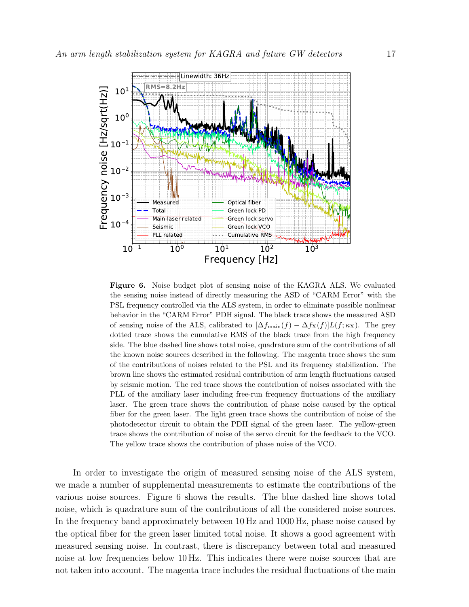

Figure 6. Noise budget plot of sensing noise of the KAGRA ALS. We evaluated the sensing noise instead of directly measuring the ASD of "CARM Error" with the PSL frequency controlled via the ALS system, in order to eliminate possible nonlinear behavior in the "CARM Error" PDH signal. The black trace shows the measured ASD of sensing noise of the ALS, calibrated to  $[\Delta f_{\text{main}}(f) - \Delta f_{\text{X}}(f)]L(f; \kappa_{\text{X}})$ . The grey dotted trace shows the cumulative RMS of the black trace from the high frequency side. The blue dashed line shows total noise, quadrature sum of the contributions of all the known noise sources described in the following. The magenta trace shows the sum of the contributions of noises related to the PSL and its frequency stabilization. The brown line shows the estimated residual contribution of arm length fluctuations caused by seismic motion. The red trace shows the contribution of noises associated with the PLL of the auxiliary laser including free-run frequency fluctuations of the auxiliary laser. The green trace shows the contribution of phase noise caused by the optical fiber for the green laser. The light green trace shows the contribution of noise of the photodetector circuit to obtain the PDH signal of the green laser. The yellow-green trace shows the contribution of noise of the servo circuit for the feedback to the VCO. The yellow trace shows the contribution of phase noise of the VCO.

In order to investigate the origin of measured sensing noise of the ALS system, we made a number of supplemental measurements to estimate the contributions of the various noise sources. Figure 6 shows the results. The blue dashed line shows total noise, which is quadrature sum of the contributions of all the considered noise sources. In the frequency band approximately between 10 Hz and 1000 Hz, phase noise caused by the optical fiber for the green laser limited total noise. It shows a good agreement with measured sensing noise. In contrast, there is discrepancy between total and measured noise at low frequencies below 10 Hz. This indicates there were noise sources that are not taken into account. The magenta trace includes the residual fluctuations of the main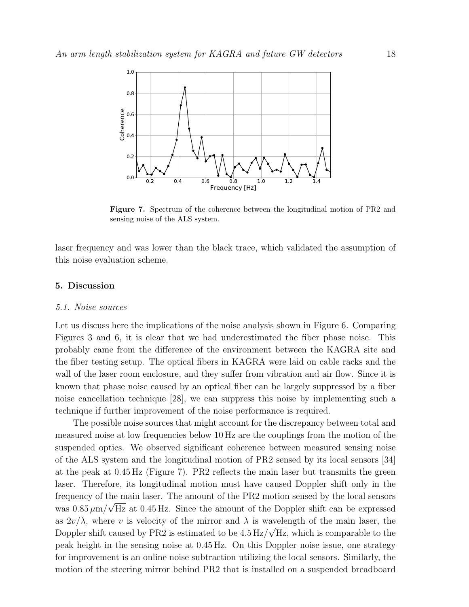

Figure 7. Spectrum of the coherence between the longitudinal motion of PR2 and sensing noise of the ALS system.

laser frequency and was lower than the black trace, which validated the assumption of this noise evaluation scheme.

# 5. Discussion

### 5.1. Noise sources

Let us discuss here the implications of the noise analysis shown in Figure 6. Comparing Figures 3 and 6, it is clear that we had underestimated the fiber phase noise. This probably came from the difference of the environment between the KAGRA site and the fiber testing setup. The optical fibers in KAGRA were laid on cable racks and the wall of the laser room enclosure, and they suffer from vibration and air flow. Since it is known that phase noise caused by an optical fiber can be largely suppressed by a fiber noise cancellation technique [28], we can suppress this noise by implementing such a technique if further improvement of the noise performance is required.

The possible noise sources that might account for the discrepancy between total and measured noise at low frequencies below 10 Hz are the couplings from the motion of the suspended optics. We observed significant coherence between measured sensing noise of the ALS system and the longitudinal motion of PR2 sensed by its local sensors [34] at the peak at 0.45 Hz (Figure 7). PR2 reflects the main laser but transmits the green laser. Therefore, its longitudinal motion must have caused Doppler shift only in the frequency of the main laser. The amount of the PR2 motion sensed by the local sensors was  $0.85 \,\mu\text{m}/\sqrt{\text{Hz}}$  at  $0.45 \text{ Hz}$ . Since the amount of the Doppler shift can be expressed as  $2v/\lambda$ , where v is velocity of the mirror and  $\lambda$  is wavelength of the main laser, the Doppler shift caused by PR2 is estimated to be  $4.5 \frac{\text{Hz}}{\sqrt{\text{Hz}}}$ , which is comparable to the peak height in the sensing noise at 0.45 Hz. On this Doppler noise issue, one strategy for improvement is an online noise subtraction utilizing the local sensors. Similarly, the motion of the steering mirror behind PR2 that is installed on a suspended breadboard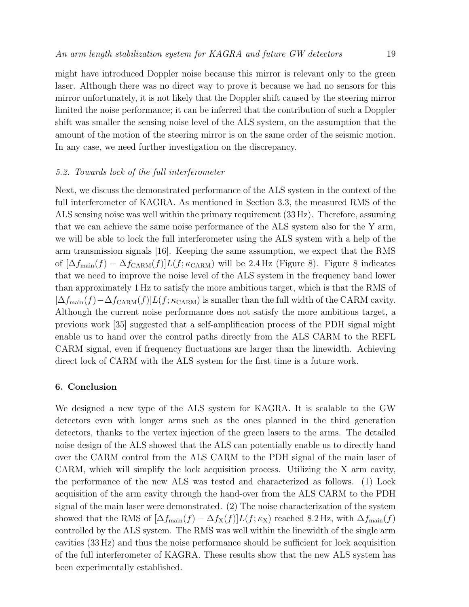might have introduced Doppler noise because this mirror is relevant only to the green laser. Although there was no direct way to prove it because we had no sensors for this mirror unfortunately, it is not likely that the Doppler shift caused by the steering mirror limited the noise performance; it can be inferred that the contribution of such a Doppler shift was smaller the sensing noise level of the ALS system, on the assumption that the amount of the motion of the steering mirror is on the same order of the seismic motion. In any case, we need further investigation on the discrepancy.

# 5.2. Towards lock of the full interferometer

Next, we discuss the demonstrated performance of the ALS system in the context of the full interferometer of KAGRA. As mentioned in Section 3.3, the measured RMS of the ALS sensing noise was well within the primary requirement (33 Hz). Therefore, assuming that we can achieve the same noise performance of the ALS system also for the Y arm, we will be able to lock the full interferometer using the ALS system with a help of the arm transmission signals [16]. Keeping the same assumption, we expect that the RMS of  $[\Delta f_{\text{main}}(f) - \Delta f_{\text{CARM}}(f)]L(f; \kappa_{\text{CARM}})$  will be 2.4 Hz (Figure 8). Figure 8 indicates that we need to improve the noise level of the ALS system in the frequency band lower than approximately 1 Hz to satisfy the more ambitious target, which is that the RMS of  $[\Delta f_{\text{main}}(f)-\Delta f_{\text{CARM}}(f)]L(f;\kappa_{\text{CARM}})$  is smaller than the full width of the CARM cavity. Although the current noise performance does not satisfy the more ambitious target, a previous work [35] suggested that a self-amplification process of the PDH signal might enable us to hand over the control paths directly from the ALS CARM to the REFL CARM signal, even if frequency fluctuations are larger than the linewidth. Achieving direct lock of CARM with the ALS system for the first time is a future work.

# 6. Conclusion

We designed a new type of the ALS system for KAGRA. It is scalable to the GW detectors even with longer arms such as the ones planned in the third generation detectors, thanks to the vertex injection of the green lasers to the arms. The detailed noise design of the ALS showed that the ALS can potentially enable us to directly hand over the CARM control from the ALS CARM to the PDH signal of the main laser of CARM, which will simplify the lock acquisition process. Utilizing the X arm cavity, the performance of the new ALS was tested and characterized as follows. (1) Lock acquisition of the arm cavity through the hand-over from the ALS CARM to the PDH signal of the main laser were demonstrated. (2) The noise characterization of the system showed that the RMS of  $[\Delta f_{\text{main}}(f) - \Delta f_{\text{X}}(f)]L(f; \kappa_{\text{X}})$  reached 8.2 Hz, with  $\Delta f_{\text{main}}(f)$ controlled by the ALS system. The RMS was well within the linewidth of the single arm cavities (33 Hz) and thus the noise performance should be sufficient for lock acquisition of the full interferometer of KAGRA. These results show that the new ALS system has been experimentally established.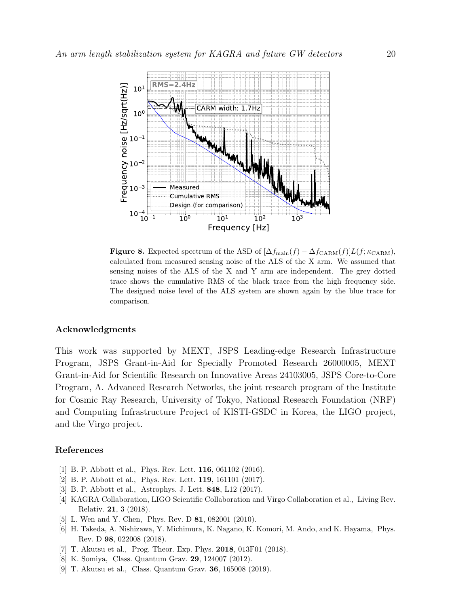

**Figure 8.** Expected spectrum of the ASD of  $[\Delta f_{\text{main}}(f) - \Delta f_{\text{CARM}}(f)]L(f; \kappa_{\text{CARM}})$ , calculated from measured sensing noise of the ALS of the X arm. We assumed that sensing noises of the ALS of the X and Y arm are independent. The grey dotted trace shows the cumulative RMS of the black trace from the high frequency side. The designed noise level of the ALS system are shown again by the blue trace for comparison.

# Acknowledgments

This work was supported by MEXT, JSPS Leading-edge Research Infrastructure Program, JSPS Grant-in-Aid for Specially Promoted Research 26000005, MEXT Grant-in-Aid for Scientific Research on Innovative Areas 24103005, JSPS Core-to-Core Program, A. Advanced Research Networks, the joint research program of the Institute for Cosmic Ray Research, University of Tokyo, National Research Foundation (NRF) and Computing Infrastructure Project of KISTI-GSDC in Korea, the LIGO project, and the Virgo project.

#### References

- [1] B. P. Abbott et al., Phys. Rev. Lett. **116**, 061102 (2016).
- [2] B. P. Abbott et al., Phys. Rev. Lett. 119, 161101 (2017).
- [3] B. P. Abbott et al., Astrophys. J. Lett. 848, L12 (2017).
- [4] KAGRA Collaboration, LIGO Scientific Collaboration and Virgo Collaboration et al., Living Rev. Relativ. 21, 3 (2018).
- [5] L. Wen and Y. Chen, Phys. Rev. D 81, 082001 (2010).
- [6] H. Takeda, A. Nishizawa, Y. Michimura, K. Nagano, K. Komori, M. Ando, and K. Hayama, Phys. Rev. D 98, 022008 (2018).
- [7] T. Akutsu et al., Prog. Theor. Exp. Phys. 2018, 013F01 (2018).
- [8] K. Somiya, Class. Quantum Grav. 29, 124007 (2012).
- [9] T. Akutsu et al., Class. Quantum Grav. 36, 165008 (2019).